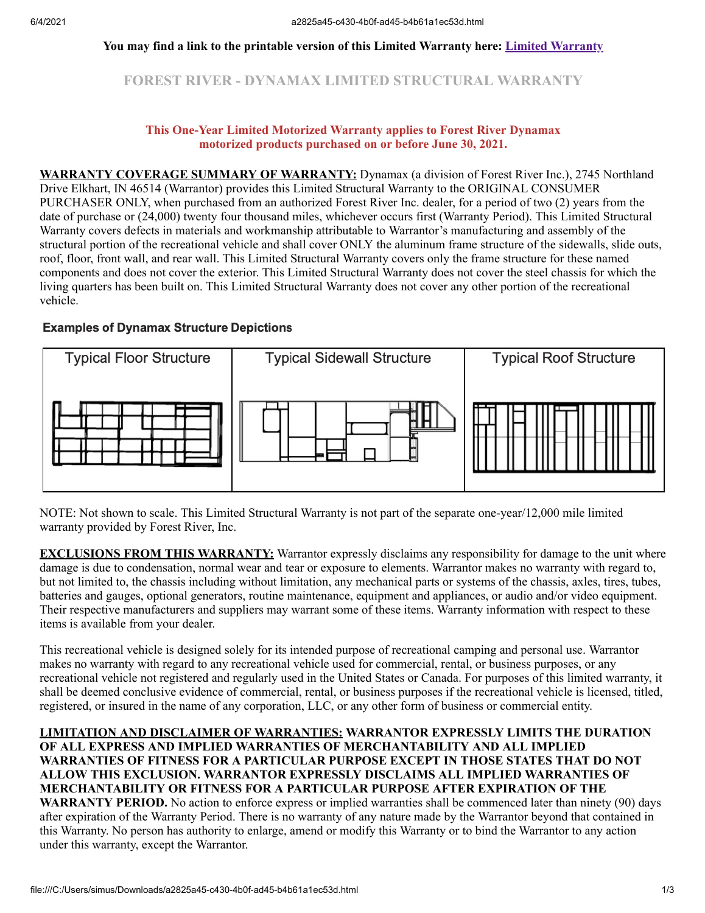### **You may find a link to the printable version of this Limited Warranty here: [Limited Warranty](https://forestriverinc.com/Owners/Warranty-Information)**

**FOREST RIVER - DYNAMAX LIMITED STRUCTURAL WARRANTY**

#### **This One-Year Limited Motorized Warranty applies to Forest River Dynamax motorized products purchased on or before June 30, 2021.**

**WARRANTY COVERAGE SUMMARY OF WARRANTY:** Dynamax (a division of Forest River Inc.), 2745 Northland Drive Elkhart, IN 46514 (Warrantor) provides this Limited Structural Warranty to the ORIGINAL CONSUMER PURCHASER ONLY, when purchased from an authorized Forest River Inc. dealer, for a period of two (2) years from the date of purchase or (24,000) twenty four thousand miles, whichever occurs first (Warranty Period). This Limited Structural Warranty covers defects in materials and workmanship attributable to Warrantor's manufacturing and assembly of the structural portion of the recreational vehicle and shall cover ONLY the aluminum frame structure of the sidewalls, slide outs, roof, floor, front wall, and rear wall. This Limited Structural Warranty covers only the frame structure for these named components and does not cover the exterior. This Limited Structural Warranty does not cover the steel chassis for which the living quarters has been built on. This Limited Structural Warranty does not cover any other portion of the recreational vehicle.

#### **Examples of Dynamax Structure Depictions**



NOTE: Not shown to scale. This Limited Structural Warranty is not part of the separate one-year/12,000 mile limited warranty provided by Forest River, Inc.

**EXCLUSIONS FROM THIS WARRANTY:** Warrantor expressly disclaims any responsibility for damage to the unit where damage is due to condensation, normal wear and tear or exposure to elements. Warrantor makes no warranty with regard to, but not limited to, the chassis including without limitation, any mechanical parts or systems of the chassis, axles, tires, tubes, batteries and gauges, optional generators, routine maintenance, equipment and appliances, or audio and/or video equipment. Their respective manufacturers and suppliers may warrant some of these items. Warranty information with respect to these items is available from your dealer.

This recreational vehicle is designed solely for its intended purpose of recreational camping and personal use. Warrantor makes no warranty with regard to any recreational vehicle used for commercial, rental, or business purposes, or any recreational vehicle not registered and regularly used in the United States or Canada. For purposes of this limited warranty, it shall be deemed conclusive evidence of commercial, rental, or business purposes if the recreational vehicle is licensed, titled, registered, or insured in the name of any corporation, LLC, or any other form of business or commercial entity.

**LIMITATION AND DISCLAIMER OF WARRANTIES: WARRANTOR EXPRESSLY LIMITS THE DURATION OF ALL EXPRESS AND IMPLIED WARRANTIES OF MERCHANTABILITY AND ALL IMPLIED WARRANTIES OF FITNESS FOR A PARTICULAR PURPOSE EXCEPT IN THOSE STATES THAT DO NOT ALLOW THIS EXCLUSION. WARRANTOR EXPRESSLY DISCLAIMS ALL IMPLIED WARRANTIES OF MERCHANTABILITY OR FITNESS FOR A PARTICULAR PURPOSE AFTER EXPIRATION OF THE WARRANTY PERIOD.** No action to enforce express or implied warranties shall be commenced later than ninety (90) days after expiration of the Warranty Period. There is no warranty of any nature made by the Warrantor beyond that contained in this Warranty. No person has authority to enlarge, amend or modify this Warranty or to bind the Warrantor to any action under this warranty, except the Warrantor.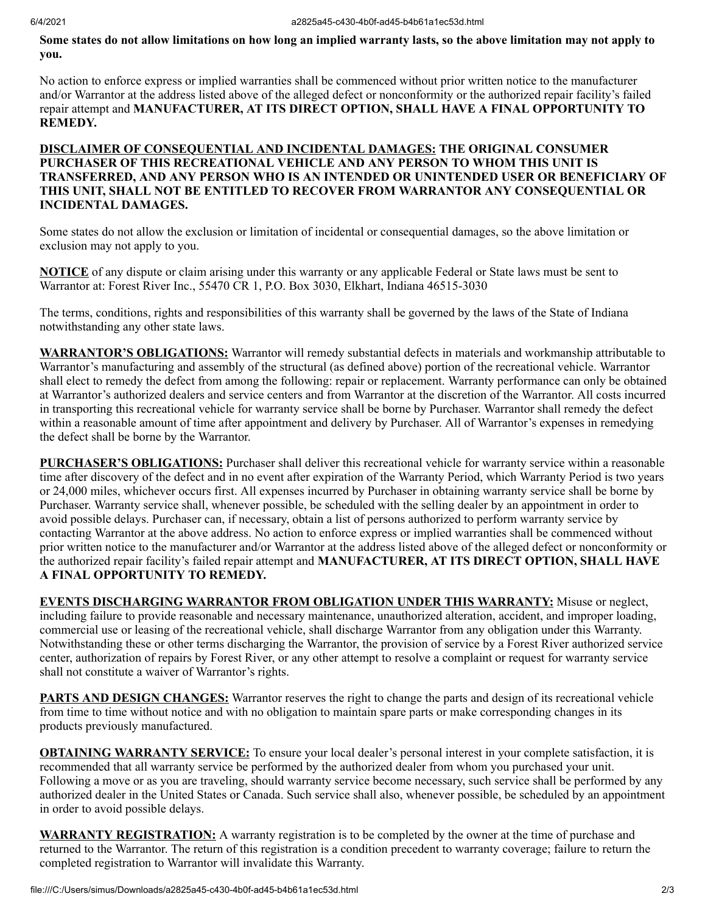# **Some states do not allow limitations on how long an implied warranty lasts, so the above limitation may not apply to you.**

No action to enforce express or implied warranties shall be commenced without prior written notice to the manufacturer and/or Warrantor at the address listed above of the alleged defect or nonconformity or the authorized repair facility's failed repair attempt and **MANUFACTURER, AT ITS DIRECT OPTION, SHALL HAVE A FINAL OPPORTUNITY TO REMEDY.** 

# **DISCLAIMER OF CONSEQUENTIAL AND INCIDENTAL DAMAGES: THE ORIGINAL CONSUMER PURCHASER OF THIS RECREATIONAL VEHICLE AND ANY PERSON TO WHOM THIS UNIT IS TRANSFERRED, AND ANY PERSON WHO IS AN INTENDED OR UNINTENDED USER OR BENEFICIARY OF THIS UNIT, SHALL NOT BE ENTITLED TO RECOVER FROM WARRANTOR ANY CONSEQUENTIAL OR INCIDENTAL DAMAGES.**

Some states do not allow the exclusion or limitation of incidental or consequential damages, so the above limitation or exclusion may not apply to you.

**NOTICE** of any dispute or claim arising under this warranty or any applicable Federal or State laws must be sent to Warrantor at: Forest River Inc., 55470 CR 1, P.O. Box 3030, Elkhart, Indiana 46515-3030

The terms, conditions, rights and responsibilities of this warranty shall be governed by the laws of the State of Indiana notwithstanding any other state laws.

**WARRANTOR'S OBLIGATIONS:** Warrantor will remedy substantial defects in materials and workmanship attributable to Warrantor's manufacturing and assembly of the structural (as defined above) portion of the recreational vehicle. Warrantor shall elect to remedy the defect from among the following: repair or replacement. Warranty performance can only be obtained at Warrantor's authorized dealers and service centers and from Warrantor at the discretion of the Warrantor. All costs incurred in transporting this recreational vehicle for warranty service shall be borne by Purchaser. Warrantor shall remedy the defect within a reasonable amount of time after appointment and delivery by Purchaser. All of Warrantor's expenses in remedying the defect shall be borne by the Warrantor.

**PURCHASER'S OBLIGATIONS:** Purchaser shall deliver this recreational vehicle for warranty service within a reasonable time after discovery of the defect and in no event after expiration of the Warranty Period, which Warranty Period is two years or 24,000 miles, whichever occurs first. All expenses incurred by Purchaser in obtaining warranty service shall be borne by Purchaser. Warranty service shall, whenever possible, be scheduled with the selling dealer by an appointment in order to avoid possible delays. Purchaser can, if necessary, obtain a list of persons authorized to perform warranty service by contacting Warrantor at the above address. No action to enforce express or implied warranties shall be commenced without prior written notice to the manufacturer and/or Warrantor at the address listed above of the alleged defect or nonconformity or the authorized repair facility's failed repair attempt and **MANUFACTURER, AT ITS DIRECT OPTION, SHALL HAVE A FINAL OPPORTUNITY TO REMEDY.**

**EVENTS DISCHARGING WARRANTOR FROM OBLIGATION UNDER THIS WARRANTY:** Misuse or neglect, including failure to provide reasonable and necessary maintenance, unauthorized alteration, accident, and improper loading, commercial use or leasing of the recreational vehicle, shall discharge Warrantor from any obligation under this Warranty. Notwithstanding these or other terms discharging the Warrantor, the provision of service by a Forest River authorized service center, authorization of repairs by Forest River, or any other attempt to resolve a complaint or request for warranty service shall not constitute a waiver of Warrantor's rights.

**PARTS AND DESIGN CHANGES:** Warrantor reserves the right to change the parts and design of its recreational vehicle from time to time without notice and with no obligation to maintain spare parts or make corresponding changes in its products previously manufactured.

**OBTAINING WARRANTY SERVICE:** To ensure your local dealer's personal interest in your complete satisfaction, it is recommended that all warranty service be performed by the authorized dealer from whom you purchased your unit. Following a move or as you are traveling, should warranty service become necessary, such service shall be performed by any authorized dealer in the United States or Canada. Such service shall also, whenever possible, be scheduled by an appointment in order to avoid possible delays.

**WARRANTY REGISTRATION:** A warranty registration is to be completed by the owner at the time of purchase and returned to the Warrantor. The return of this registration is a condition precedent to warranty coverage; failure to return the completed registration to Warrantor will invalidate this Warranty.